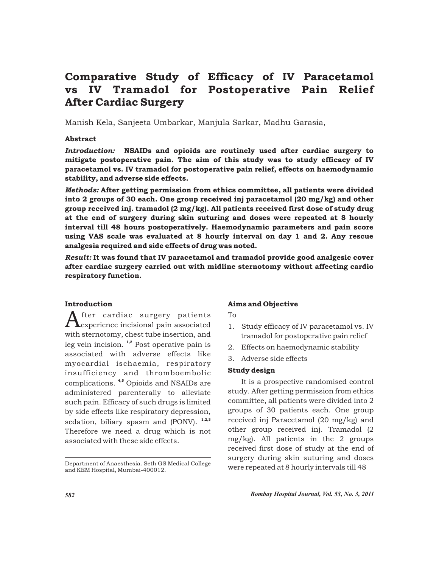# Comparative Study of Efficacy of IV Paracetamol vs IV Tramadol for Postoperative Pain Relief After Cardiac Surgery

Manish Kela, Sanjeeta Umbarkar, Manjula Sarkar, Madhu Garasia,

# Abstract

*Introduction:* NSAIDs and opioids are routinely used after cardiac surgery to mitigate postoperative pain. The aim of this study was to study efficacy of IV paracetamol vs. IV tramadol for postoperative pain relief, effects on haemodynamic stability, and adverse side effects.

*Methods:* After getting permission from ethics committee, all patients were divided into 2 groups of 30 each. One group received inj paracetamol (20 mg/kg) and other group received inj. tramadol (2 mg/kg). All patients received first dose of study drug at the end of surgery during skin suturing and doses were repeated at 8 hourly interval till 48 hours postoperatively. Haemodynamic parameters and pain score using VAS scale was evaluated at 8 hourly interval on day 1 and 2. Any rescue analgesia required and side effects of drug was noted.

*Result:* It was found that IV paracetamol and tramadol provide good analgesic cover after cardiac surgery carried out with midline sternotomy without affecting cardio respiratory function.

# Introduction

 $A$ fter cardiac surgery patients<br>experience incisional pain associated with sternotomy, chest tube insertion, and leg vein incision.  $1,2$  Post operative pain is associated with adverse effects like myocardial ischaemia, respiratory insufficiency and thromboembolic complications.<sup>4,5</sup> Opioids and NSAIDs are administered parenterally to alleviate such pain. Efficacy of such drugs is limited by side effects like respiratory depression, sedation, biliary spasm and  $(PONV)$ .  $^{1,2,3}$ Therefore we need a drug which is not associated with these side effects.

#### Aims and Objective

To

- 1. Study efficacy of IV paracetamol vs. IV tramadol for postoperative pain relief
- 2. Effects on haemodynamic stability
- 3. Adverse side effects

#### Study design

It is a prospective randomised control study. After getting permission from ethics committee, all patients were divided into 2 groups of 30 patients each. One group received inj Paracetamol (20 mg/kg) and other group received inj. Tramadol (2 mg/kg). All patients in the 2 groups received first dose of study at the end of surgery during skin suturing and doses were repeated at 8 hourly intervals till 48

Department of Anaesthesia. Seth GS Medical College and KEM Hospital, Mumbai-400012.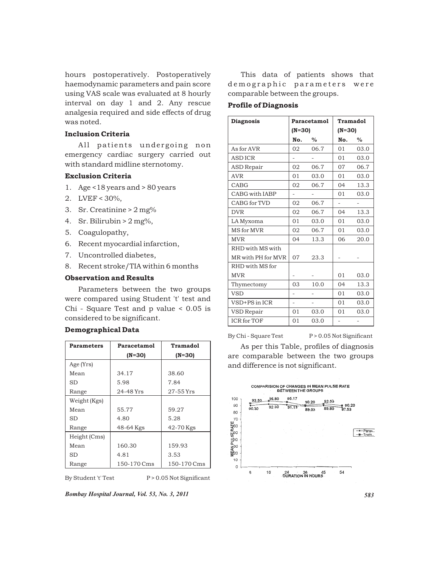hours postoperatively. Postoperatively haemodynamic parameters and pain score using VAS scale was evaluated at 8 hourly interval on day 1 and 2. Any rescue analgesia required and side effects of drug was noted.

# Inclusion Criteria

All patients undergoing non emergency cardiac surgery carried out with standard midline sternotomy.

#### Exclusion Criteria

- 1. Age <18 years and > 80 years
- 2. LVEF < 30%,
- 3. Sr. Creatinine > 2 mg%
- 4. Sr. Bilirubin > 2 mg%,
- 5. Coagulopathy,
- 6. Recent myocardial infarction,
- 7. Uncontrolled diabetes,
- 8. Recent stroke/TIA within 6 months

#### Observation and Results

Parameters between the two groups were compared using Student 't' test and Chi - Square Test and p value < 0.05 is considered to be significant.

#### Demographical Data

| Parameters   | Paracetamol | <b>Tramadol</b> |  |
|--------------|-------------|-----------------|--|
|              | $(N=30)$    | $(N=30)$        |  |
| Age (Yrs)    |             |                 |  |
| Mean         | 34.17       | 38.60           |  |
| SD           | 5.98        | 7.84            |  |
| Range        | 24-48 Yrs   | 27-55 Yrs       |  |
| Weight (Kgs) |             |                 |  |
| Mean         | 55.77       | 59.27           |  |
| SD           | 4.80        | 5.28            |  |
| Range        | 48-64 Kgs   | 42-70 Kgs       |  |
| Height (Cms) |             |                 |  |
| Mean         | 160.30      | 159.93          |  |
| SD           | 4.81        | 3.53            |  |
| Range        | 150-170 Cms | 150-170 Cms     |  |

By Student 't' Test P > 0.05 Not Significant

*Bombay Hospital Journal, Vol. 53, No. 3, 2011 583*

This data of patients shows that de m o graphic parameters were comparable between the groups.

# Profile of Diagnosis

| <b>Diagnosis</b>      | Paracetamol    |      | <b>Tramadol</b> |      |
|-----------------------|----------------|------|-----------------|------|
|                       | $(N=30)$       |      | $(N=30)$        |      |
|                       | No.            | $\%$ | No.             | $\%$ |
| As for AVR            | 02             | 06.7 | 01              | 03.0 |
| <b>ASDICR</b>         |                |      | 01              | 03.0 |
| <b>ASD Repair</b>     | 02             | 06.7 | 07              | 06.7 |
| <b>AVR</b>            | 01             | 03.0 | 01              | 03.0 |
| CABG                  | 02             | 06.7 | 04              | 13.3 |
| <b>CABG with IABP</b> | $\overline{a}$ |      | 01              | 03.0 |
| CABG for TVD          | 02             | 06.7 |                 |      |
| <b>DVR</b>            | 02             | 06.7 | 04              | 13.3 |
| LA Myxoma             | 01             | 03.0 | 01              | 03.0 |
| MS for MVR            | 02             | 06.7 | 01              | 03.0 |
| <b>MVR</b>            | 04             | 13.3 | 06              | 20.0 |
| RHD with MS with      |                |      |                 |      |
| MR with PH for MVR    | 07             | 23.3 |                 |      |
| RHD with MS for       |                |      |                 |      |
| <b>MVR</b>            |                |      | 01              | 03.0 |
| Thymectomy            | 03             | 10.0 | 04              | 13.3 |
| <b>VSD</b>            |                |      | 01              | 03.0 |
| VSD+PS in ICR         | $\overline{a}$ |      | 01              | 03.0 |
| <b>VSD</b> Repair     | 01             | 03.0 | 01              | 03.0 |
| <b>ICR</b> for TOF    | 01             | 03.0 |                 | -    |

By Chi - Square Test P > 0.05 Not Significant

As per this Table, profiles of diagnosis are comparable between the two groups and difference is not significant.

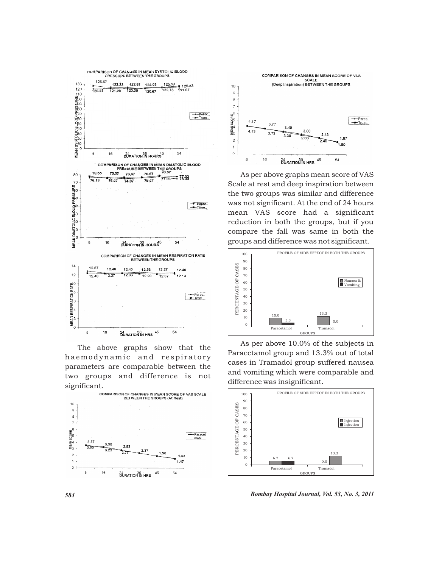

The above graphs show that the ha emodynamic and respiratory parameters are comparable between the two groups and difference is not significant.





As per above graphs mean score of VAS Scale at rest and deep inspiration between the two groups was similar and difference was not significant. At the end of 24 hours mean VAS score had a significant reduction in both the groups, but if you compare the fall was same in both the groups and difference was not significant.



As per above 10.0% of the subjects in Paracetamol group and 13.3% out of total cases in Tramadol group suffered nausea and vomiting which were comparable and difference was insignificant.



*584 Bombay Hospital Journal, Vol. 53, No. 3, 2011*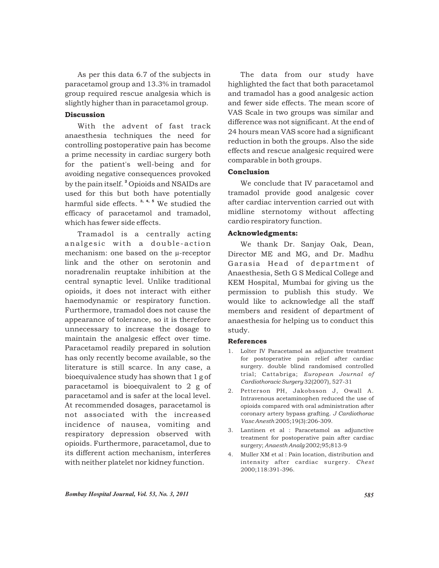As per this data 6.7 of the subjects in paracetamol group and 13.3% in tramadol group required rescue analgesia which is slightly higher than in paracetamol group.

# **Discussion**

With the advent of fast track anaesthesia techniques the need for controlling postoperative pain has become a prime necessity in cardiac surgery both for the patient's well-being and for avoiding negative consequences provoked by the pain itself.<sup>2</sup> Opioids and NSAIDs are used for this but both have potentially harmful side effects.<sup>3, 4, 5</sup> We studied the efficacy of paracetamol and tramadol, which has fewer side effects.

Tramadol is a centrally acting analgesic with a double-action mechanism: one based on the µ-receptor link and the other on serotonin and noradrenalin reuptake inhibition at the central synaptic level. Unlike traditional opioids, it does not interact with either haemodynamic or respiratory function. Furthermore, tramadol does not cause the appearance of tolerance, so it is therefore unnecessary to increase the dosage to maintain the analgesic effect over time. Paracetamol readily prepared in solution has only recently become available, so the literature is still scarce. In any case, a bioequivalence study has shown that 1 g of paracetamol is bioequivalent to 2 g of paracetamol and is safer at the local level. At recommended dosages, paracetamol is not associated with the increased incidence of nausea, vomiting and respiratory depression observed with opioids. Furthermore, paracetamol, due to its different action mechanism, interferes with neither platelet nor kidney function.

The data from our study have highlighted the fact that both paracetamol and tramadol has a good analgesic action and fewer side effects. The mean score of VAS Scale in two groups was similar and difference was not significant. At the end of 24 hours mean VAS score had a significant reduction in both the groups. Also the side effects and rescue analgesic required were comparable in both groups.

### Conclusion

We conclude that IV paracetamol and tramadol provide good analgesic cover after cardiac intervention carried out with midline sternotomy without affecting cardio respiratory function.

# Acknowledgments:

We thank Dr. Sanjay Oak, Dean, Director ME and MG, and Dr. Madhu Garasia Head of department of Anaesthesia, Seth G S Medical College and KEM Hospital, Mumbai for giving us the permission to publish this study. We would like to acknowledge all the staff members and resident of department of anaesthesia for helping us to conduct this study.

#### References

- 1. Lolter IV Paracetamol as adjunctive treatment for postoperative pain relief after cardiac surgery. double blind randomised controlled trial; Cattabriga; *European Journal of Cardiothoracic Surgery* 32(2007), 527-31
- 2. Petterson PH, Jakobsson J, Owall A. Intravenous acetaminophen reduced the use of opioids compared with oral administration after coronary artery bypass grafting. *J Cardiothorac Vasc Anesth* 2005;19(3):206-309.
- 3. Lantinen et al : Paracetamol as adjunctive treatment for postoperative pain after cardiac surgery; *Anaesth Analg* 2002;95;813-9
- 4. Muller XM et al : Pain location, distribution and intensity after cardiac surgery. *Chest* 2000;118:391-396.